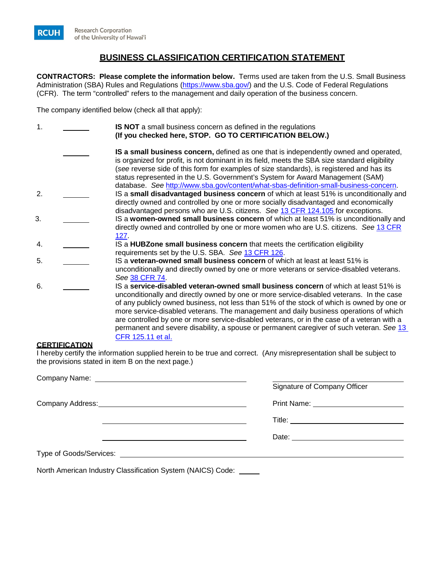

## **BUSINESS CLASSIFICATION CERTIFICATION STATEMENT**

**CONTRACTORS: Please complete the information below.** Terms used are taken from the U.S. Small Business Administration (SBA) Rules and Regulations (http[s://www.sba.gov/](https://www.sba.gov/)) and the U.S. Code of Federal Regulations (CFR). The term "controlled" refers to the management and daily operation of the business concern.

The company identified below (check all that apply):

| $\mathbf 1$ . | <b>IS NOT</b> a small business concern as defined in the regulations                                                                                                           |
|---------------|--------------------------------------------------------------------------------------------------------------------------------------------------------------------------------|
|               | (If you checked here, STOP. GO TO CERTIFICATION BELOW.)                                                                                                                        |
|               | IS a small business concern, defined as one that is independently owned and operated,                                                                                          |
|               | is organized for profit, is not dominant in its field, meets the SBA size standard eligibility                                                                                 |
|               | (see reverse side of this form for examples of size standards), is registered and has its                                                                                      |
|               | status represented in the U.S. Government's System for Award Management (SAM)                                                                                                  |
| 2.            | database. See http://www.sba.gov/content/what-sbas-definition-small-business-concern.                                                                                          |
|               | IS a small disadvantaged business concern of which at least 51% is unconditionally and<br>directly owned and controlled by one or more socially disadvantaged and economically |
|               | disadvantaged persons who are U.S. citizens. See 13 CFR 124.105 for exceptions.                                                                                                |
| 3.            | IS a women-owned small business concern of which at least 51% is unconditionally and                                                                                           |
|               | directly owned and controlled by one or more women who are U.S. citizens. See 13 CFR                                                                                           |
|               | 127.                                                                                                                                                                           |
| 4.            | IS a <b>HUBZone small business concern</b> that meets the certification eligibility                                                                                            |
| 5.            | requirements set by the U.S. SBA. See 13 CFR 126.<br>IS a veteran-owned small business concern of which at least at least 51% is                                               |
|               | unconditionally and directly owned by one or more veterans or service-disabled veterans.                                                                                       |
|               | See 38 CFR 74.                                                                                                                                                                 |
| 6.            | IS a service-disabled veteran-owned small business concern of which at least 51% is                                                                                            |
|               | unconditionally and directly owned by one or more service-disabled veterans. In the case                                                                                       |
|               | of any publicly owned business, not less than 51% of the stock of which is owned by one or                                                                                     |
|               | more service-disabled veterans. The management and daily business operations of which                                                                                          |
|               | are controlled by one or more service-disabled veterans, or in the case of a veteran with a                                                                                    |
|               | permanent and severe disability, a spouse or permanent caregiver of such veteran. See 13                                                                                       |
|               | CFR 125.11 et al.                                                                                                                                                              |

## **CERTIFICATION**

I hereby certify the information supplied herein to be true and correct. (Any misrepresentation shall be subject to the provisions stated in item B on the next page.)

| Signature of Company Officer               |
|--------------------------------------------|
|                                            |
|                                            |
| Date: <u>_____________________________</u> |
|                                            |

North American Industry Classification System (NAICS) Code: